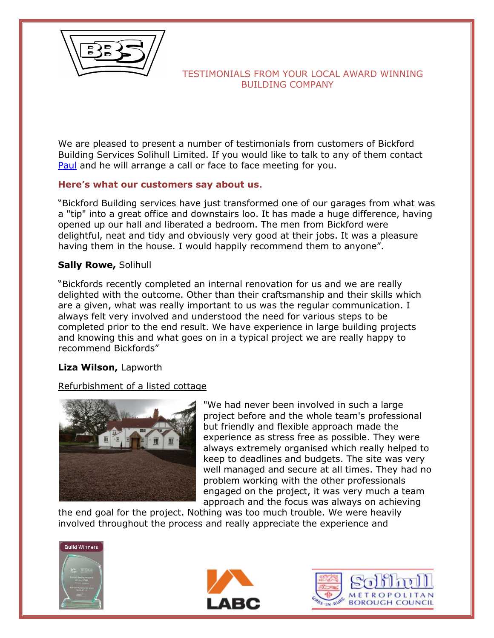

We are pleased to present a number of testimonials from customers of Bickford Building Services Solihull Limited. If you would like to talk to any of them contact [Paul](mailto:paul@bickford-builders-solihull.co.uk) and he will arrange a call or face to face meeting for you.

# **Here's what our customers say about us.**

"Bickford Building services have just transformed one of our garages from what was a "tip" into a great office and downstairs loo. It has made a huge difference, having opened up our hall and liberated a bedroom. The men from Bickford were delightful, neat and tidy and obviously very good at their jobs. It was a pleasure having them in the house. I would happily recommend them to anyone".

#### **Sally Rowe,** Solihull

"Bickfords recently completed an internal renovation for us and we are really delighted with the outcome. Other than their craftsmanship and their skills which are a given, what was really important to us was the regular communication. I always felt very involved and understood the need for various steps to be completed prior to the end result. We have experience in large building projects and knowing this and what goes on in a typical project we are really happy to recommend Bickfords"

#### **Liza Wilson,** Lapworth

#### Refurbishment of a listed cottage



"We had never been involved in such a large project before and the whole team's professional but friendly and flexible approach made the experience as stress free as possible. They were always extremely organised which really helped to keep to deadlines and budgets. The site was very well managed and secure at all times. They had no problem working with the other professionals engaged on the project, it was very much a team approach and the focus was always on achieving

the end goal for the project. Nothing was too much trouble. We were heavily involved throughout the process and really appreciate the experience and





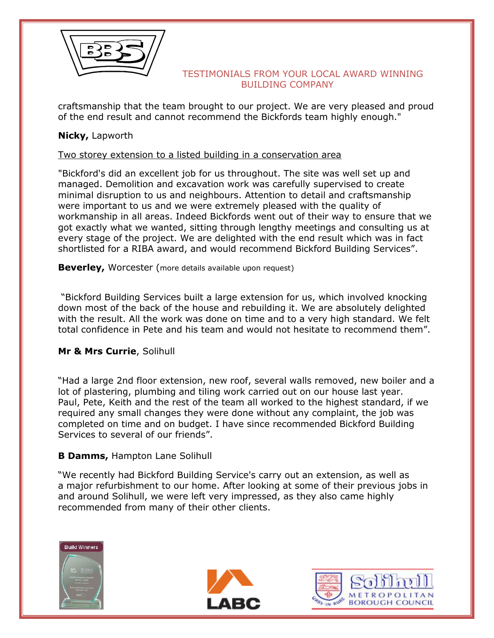

craftsmanship that the team brought to our project. We are very pleased and proud of the end result and cannot recommend the Bickfords team highly enough."

# **Nicky,** Lapworth

### Two storey extension to a listed building in a conservation area

"Bickford's did an excellent job for us throughout. The site was well set up and managed. Demolition and excavation work was carefully supervised to create minimal disruption to us and neighbours. Attention to detail and craftsmanship were important to us and we were extremely pleased with the quality of workmanship in all areas. Indeed Bickfords went out of their way to ensure that we got exactly what we wanted, sitting through lengthy meetings and consulting us at every stage of the project. We are delighted with the end result which was in fact shortlisted for a RIBA award, and would recommend Bickford Building Services".

**Beverley, Worcester (more details available upon request)** 

"Bickford Building Services built a large extension for us, which involved knocking down most of the back of the house and rebuilding it. We are absolutely delighted with the result. All the work was done on time and to a very high standard. We felt total confidence in Pete and his team and would not hesitate to recommend them".

# **Mr & Mrs Currie**, Solihull

"Had a large 2nd floor extension, new roof, several walls removed, new boiler and a lot of plastering, plumbing and tiling work carried out on our house last year. Paul, Pete, Keith and the rest of the team all worked to the highest standard, if we required any small changes they were done without any complaint, the job was completed on time and on budget. I have since recommended Bickford Building Services to several of our friends".

# **B Damms,** Hampton Lane Solihull

"We recently had Bickford Building Service's carry out an extension, as well as a major refurbishment to our home. After looking at some of their previous jobs in and around Solihull, we were left very impressed, as they also came highly recommended from many of their other clients.





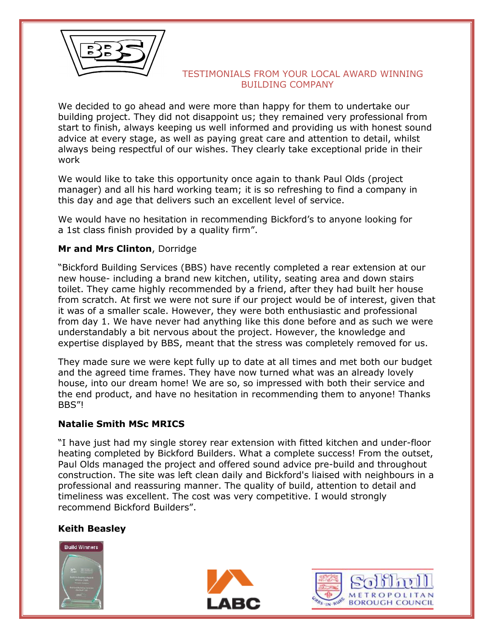

We decided to go ahead and were more than happy for them to undertake our building project. They did not disappoint us; they remained very professional from start to finish, always keeping us well informed and providing us with honest sound advice at every stage, as well as paying great care and attention to detail, whilst always being respectful of our wishes. They clearly take exceptional pride in their work

We would like to take this opportunity once again to thank Paul Olds (project manager) and all his hard working team; it is so refreshing to find a company in this day and age that delivers such an excellent level of service.

We would have no hesitation in recommending Bickford's to anyone looking for a 1st class finish provided by a quality firm".

# **Mr and Mrs Clinton**, Dorridge

"Bickford Building Services (BBS) have recently completed a rear extension at our new house- including a brand new kitchen, utility, seating area and down stairs toilet. They came highly recommended by a friend, after they had built her house from scratch. At first we were not sure if our project would be of interest, given that it was of a smaller scale. However, they were both enthusiastic and professional from day 1. We have never had anything like this done before and as such we were understandably a bit nervous about the project. However, the knowledge and expertise displayed by BBS, meant that the stress was completely removed for us.

They made sure we were kept fully up to date at all times and met both our budget and the agreed time frames. They have now turned what was an already lovely house, into our dream home! We are so, so impressed with both their service and the end product, and have no hesitation in recommending them to anyone! Thanks BBS"!

# **Natalie Smith MSc MRICS**

"I have just had my single storey rear extension with fitted kitchen and under-floor heating completed by Bickford Builders. What a complete success! From the outset, Paul Olds managed the project and offered sound advice pre-build and throughout construction. The site was left clean daily and Bickford's liaised with neighbours in a professional and reassuring manner. The quality of build, attention to detail and timeliness was excellent. The cost was very competitive. I would strongly recommend Bickford Builders".

# **Keith Beasley**





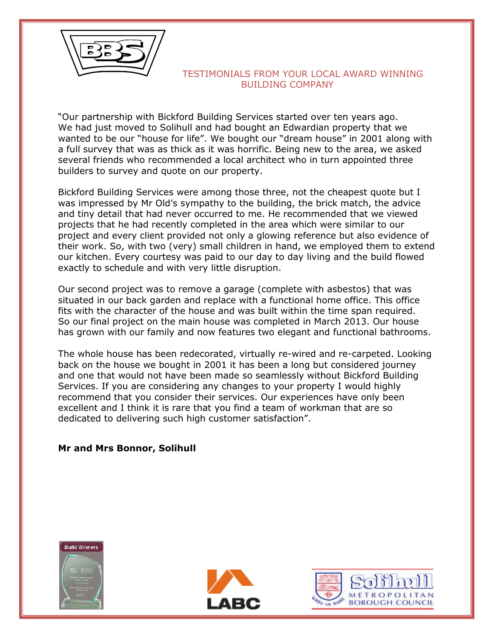

"Our partnership with Bickford Building Services started over ten years ago. We had just moved to Solihull and had bought an Edwardian property that we wanted to be our "house for life". We bought our "dream house" in 2001 along with a full survey that was as thick as it was horrific. Being new to the area, we asked several friends who recommended a local architect who in turn appointed three builders to survey and quote on our property.

Bickford Building Services were among those three, not the cheapest quote but I was impressed by Mr Old's sympathy to the building, the brick match, the advice and tiny detail that had never occurred to me. He recommended that we viewed projects that he had recently completed in the area which were similar to our project and every client provided not only a glowing reference but also evidence of their work. So, with two (very) small children in hand, we employed them to extend our kitchen. Every courtesy was paid to our day to day living and the build flowed exactly to schedule and with very little disruption.

Our second project was to remove a garage (complete with asbestos) that was situated in our back garden and replace with a functional home office. This office fits with the character of the house and was built within the time span required. So our final project on the main house was completed in March 2013. Our house has grown with our family and now features two elegant and functional bathrooms.

The whole house has been redecorated, virtually re-wired and re-carpeted. Looking back on the house we bought in 2001 it has been a long but considered journey and one that would not have been made so seamlessly without Bickford Building Services. If you are considering any changes to your property I would highly recommend that you consider their services. Our experiences have only been excellent and I think it is rare that you find a team of workman that are so dedicated to delivering such high customer satisfaction".

#### **Mr and Mrs Bonnor, Solihull**